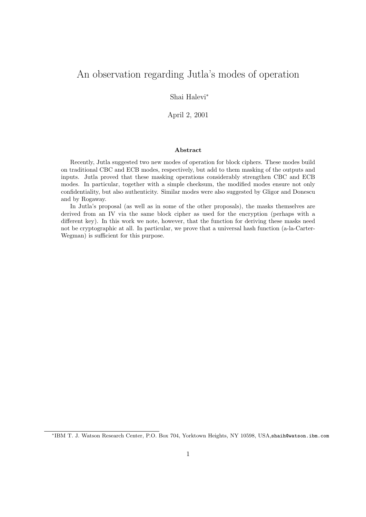# An observation regarding Jutla's modes of operation

Shai Halevi<sup>∗</sup>

April 2, 2001

#### Abstract

Recently, Jutla suggested two new modes of operation for block ciphers. These modes build on traditional CBC and ECB modes, respectively, but add to them masking of the outputs and inputs. Jutla proved that these masking operations considerably strengthen CBC and ECB modes. In particular, together with a simple checksum, the modified modes ensure not only confidentiality, but also authenticity. Similar modes were also suggested by Gligor and Donescu and by Rogaway.

In Jutla's proposal (as well as in some of the other proposals), the masks themselves are derived from an IV via the same block cipher as used for the encryption (perhaps with a different key). In this work we note, however, that the function for deriving these masks need not be cryptographic at all. In particular, we prove that a universal hash function (a-la-Carter-Wegman) is sufficient for this purpose.

<sup>∗</sup> IBM T. J. Watson Research Center, P.O. Box 704, Yorktown Heights, NY 10598, USA,shaih@watson.ibm.com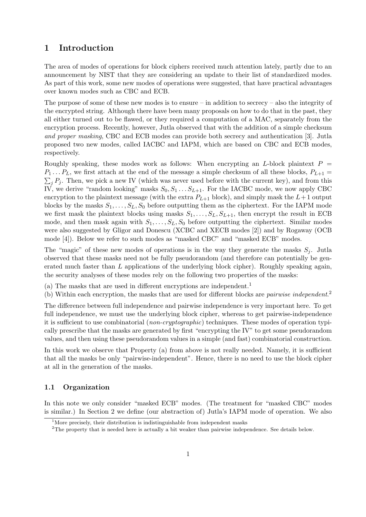## 1 Introduction

The area of modes of operations for block ciphers received much attention lately, partly due to an announcement by NIST that they are considering an update to their list of standardized modes. As part of this work, some new modes of operations were suggested, that have practical advantages over known modes such as CBC and ECB.

The purpose of some of these new modes is to ensure  $-$  in addition to secrecy  $-$  also the integrity of the encrypted string. Although there have been many proposals on how to do that in the past, they all either turned out to be flawed, or they required a computation of a MAC, separately from the encryption process. Recently, however, Jutla observed that with the addition of a simple checksum and proper masking, CBC and ECB modes can provide both secrecy and authentication [3]. Jutla proposed two new modes, called IACBC and IAPM, which are based on CBC and ECB modes, respectively.

Roughly speaking, these modes work as follows: When encrypting an L-block plaintext  $P =$  $P_1 \ldots P_L$ , we first attach at the end of the message a simple checksum of all these blocks,  $P_{L+1}$  =  $\sum_j P_j$ . Then, we pick a new IV (which was never used before with the current key), and from this IV, we derive "random looking" masks  $S_0, S_1 \ldots S_{L+1}$ . For the IACBC mode, we now apply CBC encryption to the plaintext message (with the extra  $P_{L+1}$  block), and simply mask the  $L+1$  output blocks by the masks  $S_1, \ldots, S_L, S_0$  before outputting them as the ciphertext. For the IAPM mode we first mask the plaintext blocks using masks  $S_1, \ldots, S_L, S_{L+1}$ , then encrypt the result in ECB mode, and then mask again with  $S_1, \ldots, S_L, S_0$  before outputting the ciphertext. Similar modes were also suggested by Gligor and Donescu (XCBC and XECB modes [2]) and by Rogaway (OCB mode [4]). Below we refer to such modes as "masked CBC" and "masked ECB" modes.

The "magic" of these new modes of operations is in the way they generate the masks  $S_j$ . Jutla observed that these masks need not be fully pseudorandom (and therefore can potentially be generated much faster than  $L$  applications of the underlying block cipher). Roughly speaking again, the security analyses of these modes rely on the following two properties of the masks:

- (a) The masks that are used in different encryptions are independent.<sup>1</sup>
- (b) Within each encryption, the masks that are used for different blocks are *pairwise independent.*<sup>2</sup>

The difference between full independence and pairwise independence is very important here. To get full independence, we must use the underlying block cipher, whereas to get pairwise-independence it is sufficient to use combinatorial (non-cryptographic) techniques. These modes of operation typically prescribe that the masks are generated by first "encrypting the IV" to get some pseudorandom values, and then using these pseudorandom values in a simple (and fast) combinatorial construction.

In this work we observe that Property (a) from above is not really needed. Namely, it is sufficient that all the masks be only "pairwise-independent". Hence, there is no need to use the block cipher at all in the generation of the masks.

#### 1.1 Organization

In this note we only consider "masked ECB" modes. (The treatment for "masked CBC" modes is similar.) In Section 2 we define (our abstraction of) Jutla's IAPM mode of operation. We also

 $1$ More precisely, their distribution is indistinguishable from independent masks

<sup>2</sup>The property that is needed here is actually a bit weaker than pairwise independence. See details below.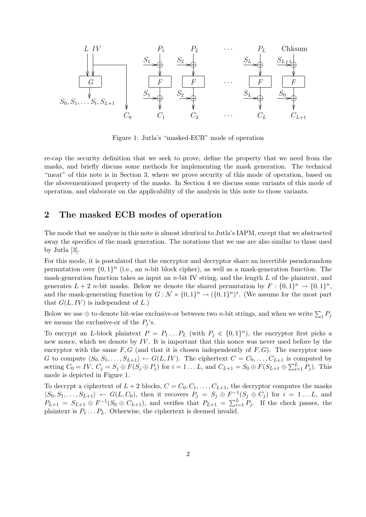

Figure 1: Jutla's "masked-ECB" mode of operation

re-cap the security definition that we seek to prove, define the property that we need from the masks, and briefly discuss some methods for implementing the mask generation. The technical "meat" of this note is in Section 3, where we prove security of this mode of operation, based on the abovementioned property of the masks. In Section 4 we discuss some variants of this mode of operation, and elaborate on the applicability of the analysis in this note to those variants.

## 2 The masked ECB modes of operation

The mode that we analyze in this note is almost identical to Jutla's IAPM, except that we abstracted away the specifics of the mask generation. The notations that we use are also similar to those used by Jutla [3].

For this mode, it is postulated that the encryptor and decryptor share an invertible pseudorandom permutation over  $\{0,1\}^n$  (i.e., an *n*-bit block cipher), as well as a mask-generation function. The mask-generation function takes as input an  $n$ -bit IV string, and the length  $L$  of the plaintext, and generates  $L + 2$  *n*-bit masks. Below we denote the shared permutation by  $F : \{0,1\}^n \to \{0,1\}^n$ , and the mask-generating function by  $G: \mathcal{N} \times \{0,1\}^n \to (\{0,1\}^n)^*$ . (We assume for the most part that  $G(L, IV)$  is independent of L.

Below we use  $\oplus$  to denote bit-wise exclusive-or between two *n*-bit strings, and when we write  $\sum_j P_j$ we means the exclusive-or of the  $P_i$ 's.

To encrypt an L-block plaintext  $P = P_1 ... P_L$  (with  $P_j \in \{0,1\}^n$ ), the encryptor first picks a new nonce, which we denote by  $IV$ . It is important that this nonce was never used before by the encryptor with the same  $F, G$  (and that it is chosen independently of  $F, G$ ). The encryptor uses G to compute  $\langle S_0, S_1, \ldots, S_{L+1} \rangle \leftarrow G(L, IV)$ . The ciphertext  $C = C_0, \ldots, C_{L+1}$  is computed by setting  $C_0 = IV$ ,  $C_j = S_j \oplus F(S_j \oplus P_j)$  for  $i = 1...L$ , and  $C_{L+1} = S_0 \oplus F(S_{L+1} \oplus \sum_{i=1}^{L} P_i)$ . This mode is depicted in Figure 1.

To decrypt a ciphertext of  $L + 2$  blocks,  $C = C_0, C_1, \ldots, C_{L+1}$ , the decryptor computes the masks  $\langle S_0, S_1, \ldots, S_{L+1} \rangle \leftarrow G(L, C_0)$ , then it recovers  $P_j = S_j \oplus F^{-1}(S_j \oplus C_j)$  for  $i = 1 \ldots L$ , and  $P_{L+1} = S_{L+1} \oplus F^{-1}(S_0 \oplus C_{L+1})$ , and verifies that  $P_{L+1} = \sum_{i=1}^{L} P_i$ . If the check passes, the plaintext is  $P_1 \ldots P_L$ . Otherwise, the ciphertext is deemed invalid.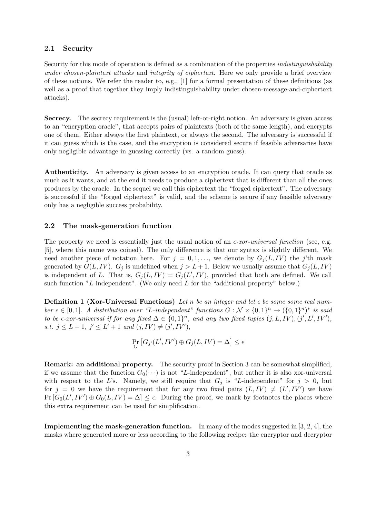#### 2.1 Security

Security for this mode of operation is defined as a combination of the properties indistinguishability under chosen-plaintext attacks and integrity of ciphertext. Here we only provide a brief overview of these notions. We refer the reader to, e.g., [1] for a formal presentation of these definitions (as well as a proof that together they imply indistinguishability under chosen-message-and-ciphertext attacks).

Secrecy. The secrecy requirement is the (usual) left-or-right notion. An adversary is given access to an "encryption oracle", that accepts pairs of plaintexts (both of the same length), and encrypts one of them. Either always the first plaintext, or always the second. The adversary is successful if it can guess which is the case, and the encryption is considered secure if feasible adversaries have only negligible advantage in guessing correctly (vs. a random guess).

Authenticity. An adversary is given access to an encryption oracle. It can query that oracle as much as it wants, and at the end it needs to produce a ciphertext that is different than all the ones produces by the oracle. In the sequel we call this ciphertext the "forged ciphertext". The adversary is successful if the "forged ciphertext" is valid, and the scheme is secure if any feasible adversary only has a negligible success probability.

#### 2.2 The mask-generation function

The property we need is essentially just the usual notion of an  $\epsilon$ -xor-universal function (see, e.g. [5], where this name was coined). The only difference is that our syntax is slightly different. We need another piece of notation here. For  $j = 0, 1, \ldots$ , we denote by  $G_i(L, IV)$  the j'th mask generated by  $G(L, IV)$ .  $G_i$  is undefined when  $j > L + 1$ . Below we usually assume that  $G_i(L, IV)$ is independent of L. That is,  $G_j(L, IV) = G_j(L', IV)$ , provided that both are defined. We call such function "L-independent". (We only need  $L$  for the "additional property" below.)

**Definition 1 (Xor-Universal Functions)** Let n be an integer and let  $\epsilon$  be some some real number  $\epsilon \in [0,1]$ . A distribution over "L-independent" functions  $G: \mathcal{N} \times \{0,1\}^n \to (\{0,1\}^n)^*$  is said to be  $\epsilon$ -xor-universal if for any fixed  $\Delta \in \{0,1\}^n$ , and any two fixed tuples  $(j, L, IV), (j', L', IV')$ , s.t.  $j \leq L+1$ ,  $j' \leq L'+1$  and  $(j, IV) \neq (j', IV')$ ,

$$
\Pr_G\left[G_{j'}(L', IV') \oplus G_j(L, IV) = \Delta\right] \le \epsilon
$$

Remark: an additional property. The security proof in Section 3 can be somewhat simplified, if we assume that the function  $G_0(\cdots)$  is not "L-independent", but rather it is also xor-universal with respect to the L's. Namely, we still require that  $G_i$  is "L-independent" for  $j > 0$ , but for  $j = 0$  we have the requirement that for any two fixed pairs  $(L, IV) \neq (L', IV')$  we have  $Pr[G_0(L', IV') \oplus G_0(L, IV) = \Delta] \leq \epsilon$ . During the proof, we mark by footnotes the places where this extra requirement can be used for simplification.

Implementing the mask-generation function. In many of the modes suggested in [3, 2, 4], the masks where generated more or less according to the following recipe: the encryptor and decryptor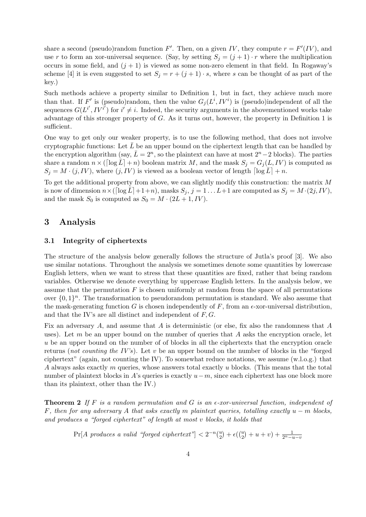share a second (pseudo)random function F'. Then, on a given IV, they compute  $r = F'(IV)$ , and use r to form an xor-universal sequence. (Say, by setting  $S_j = (j + 1) \cdot r$  where the multiplication occurs in some field, and  $(j + 1)$  is viewed as some non-zero element in that field. In Rogaway's scheme [4] it is even suggested to set  $S_j = r + (j + 1) \cdot s$ , where s can be thought of as part of the key.)

Such methods achieve a property similar to Definition 1, but in fact, they achieve much more than that. If F' is (pseudo)random, then the value  $G_j(L^i, IV^i)$  is (pseudo)independent of all the sequences  $G(L^{i'}, IV^{i'})$  for  $i' \neq i$ . Indeed, the security arguments in the abovementioned works take advantage of this stronger property of G. As it turns out, however, the property in Definition 1 is sufficient.

One way to get only our weaker property, is to use the following method, that does not involve cryptographic functions: Let  $\bar{L}$  be an upper bound on the ciphertext length that can be handled by the encryption algorithm (say,  $\bar{L} = 2^n$ , so the plaintext can have at most  $2^n - 2$  blocks). The parties share a random  $n \times (\lceil \log \bar{L} \rceil + n)$  boolean matrix M, and the mask  $S_j = G_j(L, IV)$  is computed as  $S_j = M \cdot (j, IV)$ , where  $(j, IV)$  is viewed as a boolean vector of length  $\lceil \log \bar{L} \rceil + n$ .

To get the additional property from above, we can slightly modify this construction: the matrix M is now of dimension  $n \times (\lceil \log \bar{L} \rceil + 1 + n)$ , masks  $S_j$ ,  $j = 1 ... L + 1$  are computed as  $S_j = M \cdot (2j, IV)$ , and the mask  $S_0$  is computed as  $S_0 = M \cdot (2L + 1, IV)$ .

## 3 Analysis

#### 3.1 Integrity of ciphertexts

The structure of the analysis below generally follows the structure of Jutla's proof [3]. We also use similar notations. Throughout the analysis we sometimes denote some quantities by lowercase English letters, when we want to stress that these quantities are fixed, rather that being random variables. Otherwise we denote everything by uppercase English letters. In the analysis below, we assume that the permutation  $F$  is chosen uniformly at random from the space of all permutations over  $\{0,1\}^n$ . The transformation to pseudorandom permutation is standard. We also assume that the mask-generating function G is chosen independently of F, from an  $\epsilon$ -xor-universal distribution. and that the IV's are all distinct and independent of  $F, G$ .

Fix an adversary A, and assume that A is deterministic (or else, fix also the randomness that A uses). Let  $m$  be an upper bound on the number of queries that  $A$  asks the encryption oracle, let u be an upper bound on the number of of blocks in all the ciphertexts that the encryption oracle returns (not counting the IV's). Let v be an upper bound on the number of blocks in the "forged ciphertext" (again, not counting the IV). To somewhat reduce notations, we assume  $(w.l.o.g.)$  that A always asks exactly m queries, whose answers total exactly u blocks. (This means that the total number of plaintext blocks in A's queries is exactly  $u-m$ , since each ciphertext has one block more than its plaintext, other than the IV.)

**Theorem 2** If F is a random permutation and G is an  $\epsilon$ -xor-universal function, independent of F, then for any adversary A that asks exactly m plaintext queries, totalling exactly  $u - m$  blocks, and produces a "forged ciphertext" of length at most v blocks, it holds that

 $Pr[A \text{ produces a valid "forget ciphertext"}] < 2^{-n} {u \choose 2} + \epsilon {u \choose 2} + u + v + \frac{1}{2^n - u - v}$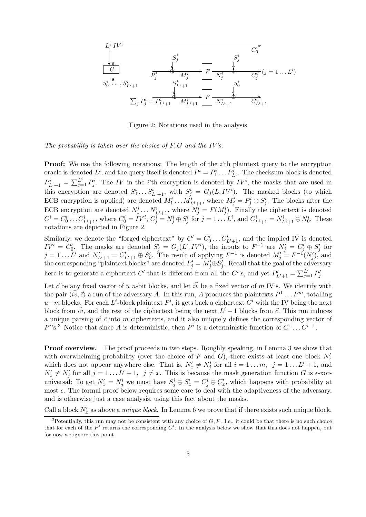

Figure 2: Notations used in the analysis

The probability is taken over the choice of  $F, G$  and the IV's.

**Proof:** We use the following notations: The length of the i'th plaintext query to the encryption oracle is denoted  $L^i$ , and the query itself is denoted  $P^i = P_1^i \dots P_{L^i}^i$ . The checksum block is denoted  $P_{L^{i}+1}^{i} = \sum_{j=1}^{L^{i}} P_{j}^{i}$ . The IV in the *i*'th encryption is denoted by IV<sup>*i*</sup>, the masks that are used in this encryption are denoted  $S_0^i \dots S_{L^i+1}^i$ , with  $S_j^i = G_j(L, IV^i)$ . The masked blocks (to which ECB encryption is applied) are denoted  $M_1^i \dots M_{L^i+1}^i$ , where  $M_j^i = P_j^i \oplus S_j^i$ . The blocks after the ECB encryption are denoted  $N_1^i \dots N_{L^i+1}^i$ , where  $N_j^i = F(M_j^i)$ . Finally the ciphertext is denoted  $C^i = C^i_0 \dots C^i_{L^i+1}$ , where  $C^i_0 = IV^i$ ,  $C^i_j = N^i_j \oplus S^i_j$  for  $j = 1 \dots L^i$ , and  $C^i_{L^i+1} = N^i_{L^i+1} \oplus N^i_0$ . These notations are depicted in Figure 2.

Similarly, we denote the "forged ciphertext" by  $C' = C_0'$  $C'_{L'+1}$ , and the implied IV is denoted  $IV' = \tilde{C}'_0$ 0. The masks are denoted  $S'_j = G_j(L', IV')$ , the inputs to  $F^{-1}$  are  $N'_j = C'_j \oplus S'_j$  $j'$  for  $j = 1 \dots L'$  and  $N'_{L'+1} = C'_{L'+1} \oplus S'_{0}$  $\int_0^{\prime}$ . The result of applying  $F^{-1}$  is denoted  $M'_j = F^{-1}(N'_j)$ , and the corresponding "plaintext blocks" are denoted  $P'_j = M'_j \oplus S'_j$  $'_{j}$ . Recall that the goal of the adversary here is to generate a ciphertext C' that is different from all the C<sup>*i*</sup>'s, and yet  $P'_{L'+1} = \sum_{j=1}^{L'} P'_j$ )'<br>j

Let  $\vec{c}$  be any fixed vector of u n-bit blocks, and let  $\vec{iv}$  be a fixed vector of m IV's. We identify with the pair  $\langle \vec{iv}, \vec{c} \rangle$  a run of the adversary A. In this run, A produces the plaintexts  $P^1 \dots P^m$ , totalling  $u-m$  blocks. For each L<sup>i</sup>-block plaintext  $P^i$ , it gets back a ciphertext  $C^i$  with the IV being the next block from  $\vec{iv}$ , and the rest of the ciphertext being the next  $L^i + 1$  blocks from  $\vec{c}$ . This run induces a unique parsing of  $\vec{c}$  into m ciphertexts, and it also uniquely defines the corresponding vector of  $P^i$ 's.<sup>3</sup> Notice that since A is deterministic, then  $P^i$  is a deterministic function of  $C^1 \dots C^{i-1}$ .

Proof overview. The proof proceeds in two steps. Roughly speaking, in Lemma 3 we show that with overwhelming probability (over the choice of F and G), there exists at least one block  $N'_x$ which does not appear anywhere else. That is,  $N'_x \neq N^i_j$  for all  $i = 1 ... m, j = 1 ... L^i + 1$ , and  $N'_x \neq N'_j$  for all  $j = 1 \dots L' + 1$ ,  $j \neq x$ . This is because the mask generation function G is  $\epsilon$ -xoruniversal: To get  $N'_x = N^i_j$  we must have  $S^i_j \oplus S'_x = C^i_j \oplus C'_x$  $x'_{x}$ , which happens with probability at most  $\epsilon$ . The formal proof below requires some care to deal with the adaptiveness of the adversary, and is otherwise just a case analysis, using this fact about the masks.

Call a block  $N'_x$  as above a *unique block*. In Lemma 6 we prove that if there exists such unique block,

<sup>&</sup>lt;sup>3</sup>Potentially, this run may not be consistent with any choice of  $G, F$ . I.e., it could be that there is no such choice that for each of the  $P^i$  returns the corresponding  $C^i$ . In the analysis below we show that this does not happen, but for now we ignore this point.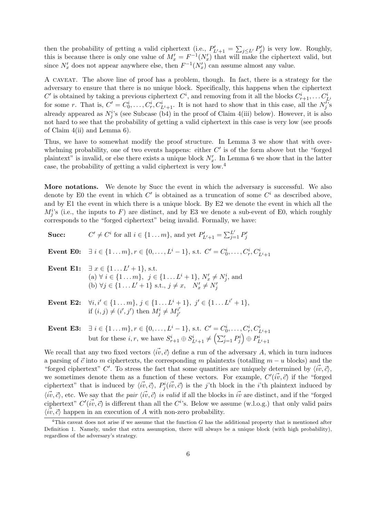then the probability of getting a valid ciphertext (i.e.,  $P'_{L'+1} = \sum_{j \leq L'} P'_j$  $\mathcal{P}'_j$  is very low. Roughly, this is because there is only one value of  $M'_x = F^{-1}(N'_x)$  that will make the ciphertext valid, but since  $N'_x$  does not appear anywhere else, then  $F^{-1}(N'_x)$  can assume almost any value.

A caveat. The above line of proof has a problem, though. In fact, there is a strategy for the adversary to ensure that there is no unique block. Specifically, this happens when the ciphertext  $C'$  is obtained by taking a previous ciphertext  $C^i$ , and removing from it all the blocks  $C^i_{r+1}, \ldots C^i_{L^i}$ for some r. That is,  $C' = C_0^i, \ldots, C_r^i, C_{L^i+1}^i$ . It is not hard to show that in this case, all the  $N_j^{i'}$ s already appeared as  $N_j^i$ 's (see Subcase (b4) in the proof of Claim 4(iii) below). However, it is also not hard to see that the probability of getting a valid ciphertext in this case is very low (see proofs of Claim 4(ii) and Lemma 6).

Thus, we have to somewhat modify the proof structure. In Lemma 3 we show that with overwhelming probability, one of two events happens: either  $C'$  is of the form above but the "forged" plaintext" is invalid, or else there exists a unique block  $N'_x$ . In Lemma 6 we show that in the latter case, the probability of getting a valid ciphertext is very low.<sup>4</sup>

More notations. We denote by Succ the event in which the adversary is successful. We also denote by E0 the event in which  $C'$  is obtained as a truncation of some  $C^i$  as described above, and by E1 the event in which there is a unique block. By E2 we denote the event in which all the  $M_j^i$ 's (i.e., the inputs to F) are distinct, and by E3 we denote a sub-event of E0, which roughly corresponds to the "forged ciphertext" being invalid. Formally, we have:

| Succ: | $C' \neq C^i$ for all $i \in \{1 \dots m\}$ , and yet $P'_{L'+1} = \sum_{i=1}^{L'} P'_i$                                                                                                                                  |
|-------|---------------------------------------------------------------------------------------------------------------------------------------------------------------------------------------------------------------------------|
|       | <b>Event E0:</b> $\exists i \in \{1m\}, r \in \{0,,L^i-1\}, \text{ s.t. } C' = C_0^i, \ldots, C_r^i, C_{L^i+1}^i$                                                                                                         |
|       | <b>Event E1:</b> $\exists x \in \{1L'+1\}$ , s.t.<br>(a) $\forall i \in \{1 \dots m\}, \ j \in \{1 \dots L^i + 1\}, N'_x \neq N^i_j$ , and<br>(b) $\forall j \in \{1L'+1\} \text{ s.t., } j \neq x, \quad N'_x \neq N'_i$ |
|       | <b>Event E2:</b> $\forall i, i' \in \{1 \dots m\}, j \in \{1 \dots L^i + 1\}, j' \in \{1 \dots L^{i'} + 1\},\$<br>if $(i, j) \neq (i', j')$ then $M_i^i \neq M_{i'}^{i'}$                                                 |

Event E3:  $\exists i \in \{1 \dots m\}, r \in \{0, \dots, L^i - 1\}, \text{ s.t. } C' = C_0^i, \dots, C_r^i, C_{L^i+1}^i$ but for these  $i, r$ , we have  $S_{r+1}^i \oplus S_{L^i+1}^i \neq \left(\sum_{j=1}^r P_j^i\right) \oplus P_{L^i+1}^i$ 

We recall that any two fixed vectors  $\langle \vec{w}, \vec{c} \rangle$  define a run of the adversary A, which in turn induces a parsing of  $\vec{c}$  into m ciphertexts, the corresponding m plaintexts (totalling  $m - u$  blocks) and the "forged ciphertext" C'. To stress the fact that some quantities are uniquely determined by  $\langle \vec{w}, \vec{c} \rangle$ , we sometimes denote them as a function of these vectors. For example,  $C'(\vec{w}, \vec{c})$  if the "forged" ciphertext" that is induced by  $\langle \vec{w}, \vec{c} \rangle$ ,  $P^i_j(\vec{w}, \vec{c})$  is the j'th block in the *i*'th plaintext induced by  $\langle \vec{iv}, \vec{c} \rangle$ , etc. We say that the pair  $\langle \vec{iv}, \vec{c} \rangle$  is valid if all the blocks in  $\vec{iv}$  are distinct, and if the "forged" ciphertext"  $C'(\vec{iv}, \vec{c})$  is different than all the  $C^{i}$ 's. Below we assume (w.l.o.g.) that only valid pairs  $\langle \vec{w}, \vec{c} \rangle$  happen in an execution of A with non-zero probability.

<sup>&</sup>lt;sup>4</sup>This caveat does not arise if we assume that the function G has the additional property that is mentioned after Definition 1. Namely, under that extra assumption, there will always be a unique block (with high probability), regardless of the adversary's strategy.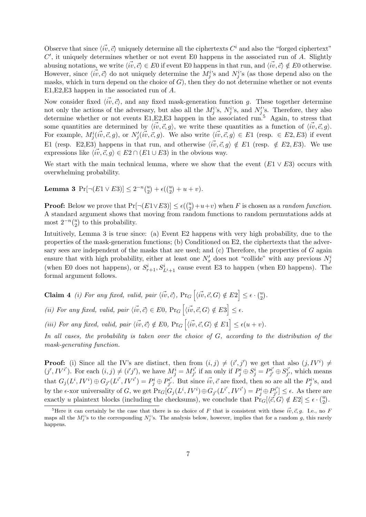Observe that since  $\langle \vec{iv}, \vec{c} \rangle$  uniquely determine all the ciphertexts  $C^i$  and also the "forged ciphertext"  $C'$ , it uniquely determines whether or not event E0 happens in the associated run of  $\overline{A}$ . Slightly abusing notations, we write  $\langle w, \vec{c} \rangle \in E0$  if event E0 happens in that run, and  $\langle \vec{w}, \vec{c} \rangle \notin E0$  otherwise. However, since  $\langle \vec{w}, \vec{c} \rangle$  do not uniquely determine the  $M_j^{i,s}$  and  $N_j^{i,s}$  (as those depend also on the masks, which in turn depend on the choice of  $G$ ), then they do not determine whether or not events E1,E2,E3 happen in the associated run of A.

Now consider fixed  $\langle \vec{w}, \vec{c} \rangle$ , and any fixed mask-generation function g. These together determine not only the actions of the adversary, but also all the  $M_j^i$ 's,  $N_j^i$ 's, and  $N_j'$ 's. Therefore, they also determine whether or not events E1, E2, E3 happen in the associated run.<sup>5</sup> Again, to stress that some quantities are determined by  $\langle w, \vec{c}, g \rangle$ , we write these quantities as a function of  $\langle \vec{w}, \vec{c}, g \rangle$ . For example,  $M_j^i(i\vec{v}, \vec{c}, g)$ , or  $N_j(i\vec{v}, \vec{c}, g)$ . We also write  $\langle i\vec{v}, \vec{c}, g \rangle \in E_1$  (resp.  $\in E_2, E_3$ ) if event E1 (resp. E2, E3) happens in that run, and otherwise  $\langle \vec{w}, \vec{c}, g \rangle \notin E1$  (resp.  $\notin E2, E3$ ). We use expressions like  $\langle \vec{w}, \vec{c}, g \rangle \in E2 \cap (E1 \cup E3)$  in the obvious way.

We start with the main technical lemma, where we show that the event  $(E1 \vee E3)$  occurs with overwhelming probability.

Lemma 3  $Pr[\neg(E1 \vee E3)] \leq 2^{-n} {u \choose 2} + \epsilon {u \choose 2} + u + v$ .

**Proof:** Below we prove that  $Pr[\neg(E1 \lor E3)] \le \epsilon(\binom{u}{2} + u + v)$  when F is chosen as a *random function*. A standard argument shows that moving from random functions to random permutations adds at most  $2^{-n} {u \choose 2}$  to this probability.

Intuitively, Lemma 3 is true since: (a) Event E2 happens with very high probability, due to the properties of the mask-generation functions; (b) Conditioned on E2, the ciphertexts that the adversary sees are independent of the masks that are used; and (c) Therefore, the properties of G again ensure that with high probability, either at least one  $N'_x$  does not "collide" with any previous  $N_j^i$ (when E0 does not happens), or  $S_{r+1}^i, S_{L^i+1}^i$  cause event E3 to happen (when E0 happens). The formal argument follows.

**Claim 4** (i) For any fixed, valid, pair  $\langle \vec{iv}, \vec{c} \rangle$ ,  $Pr_G \left[ \langle \vec{iv}, \vec{c}, G \rangle \notin E2 \right] \leq \epsilon \cdot {u \choose 2}$ . (ii) For any fixed, valid, pair  $\langle \vec{w}, \vec{c} \rangle \in E0$ ,  $Pr_G \left[ \langle \vec{w}, \vec{c}, G \rangle \notin E3 \right] \leq \epsilon$ . (iii) For any fixed, valid, pair  $\langle \vec{iv}, \vec{c} \rangle \notin E0$ ,  $Pr_G \left[ \langle \vec{iv}, \vec{c}, G \rangle \notin E1 \right] \leq \epsilon (u + v)$ .

In all cases, the probability is taken over the choice of G, according to the distribution of the mask-generating function.

**Proof:** (i) Since all the IV's are distinct, then from  $(i, j) \neq (i', j')$  we get that also  $(j, IV^i) \neq$  $(j', IV^{i'})$ . For each  $(i, j) \neq (i'j')$ , we have  $M_j^i = M_{j'}^{i'}$  $j'$  if an only if  $P_j^i \oplus S_j^i = P_{j'}^{i'}$  $g^{i'}_{j'}\oplus S^{i'}_{j'}$  $j'$ , which means that  $G_j(L^i, IV^i) \oplus G_{j'}(L^{i'}, IV^{i'}) = P^i_j \oplus P^{i'}_{j'}$  $\vec{p}$ . But since  $\vec{iv}, \vec{c}$  are fixed, then so are all the  $P_j^{i}$ 's, and by the  $\epsilon$ -xor universality of G, we get  $Pr_G[G_j(L^i, IV^i) \oplus G_{j'}(L^{i'}, IV^{i'}) = P^i_j \oplus P^{i'}_{j'}$  $\left[\mathbf{z}_{j'}^{i'}\right] \leq \epsilon$ . As there are exactly u plaintext blocks (including the checksums), we conclude that  $Pr_G[\langle \vec{c}, \vec{G} \rangle \notin E2] \leq \epsilon \cdot {u \choose 2}$ .

<sup>&</sup>lt;sup>5</sup>Here it can certainly be the case that there is no choice of F that is consistent with these  $\vec{iv}, \vec{c}, g$ . I.e., no F maps all the  $M_j^i$ 's to the corresponding  $N_j^i$ 's. The analysis below, however, implies that for a random g, this rarely happens.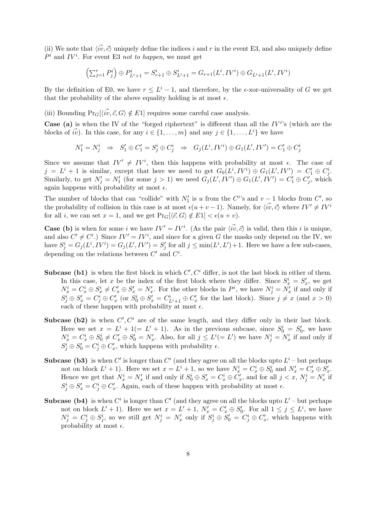(ii) We note that  $\langle v, \vec{c} \rangle$  uniquely define the indices i and r in the event E3, and also uniquely define  $P^i$  and  $IV^i$ . For event E3 not to happen, we must get

$$
\left(\sum_{j=1}^r P_j^i\right) \oplus P_{L^i+1}^i = S_{r+1}^i \oplus S_{L^i+1}^i = G_{r+1}(L^i, IV^i) \oplus G_{L^i+1}(L^i, IV^i)
$$

By the definition of E0, we have  $r \leq L^{i} - 1$ , and therefore, by the  $\epsilon$ -xor-universality of G we get that the probability of the above equality holding is at most  $\epsilon$ .

(iii) Bounding  $Pr_G[\langle \vec{w}, \vec{c}, G \rangle \notin E1]$  requires some careful case analysis.

**Case** (a) is when the IV of the "forged ciphertext" is different than all the  $IV<sup>i</sup>$ 's (which are the blocks of  $\vec{iv}$ ). In this case, for any  $i \in \{1, \ldots, m\}$  and any  $j \in \{1, \ldots, L^i\}$  we have

$$
N'_1=N^i_j\quad\Rightarrow\quad S'_1\oplus C'_1=S^i_j\oplus C^i_j\quad\Rightarrow\quad G_j(L^i,IV^i)\oplus G_1(L',IV')=C'_1\oplus C^i_j
$$

Since we assume that  $IV' \neq IV^i$ , then this happens with probability at most  $\epsilon$ . The case of  $j = L^i + 1$  is similar, except that here we need to get  $G_0(L^i, IV^i) \oplus G_1(L', IV') = C'_1 \oplus C'_j$ . Similarly, to get  $N'_j = N'_1$  (for some  $j > 1$ ) we need  $G_j(L', IV') \oplus G_1(L', IV') = C'_1 \oplus C'_j$  $j'$ , which again happens with probability at most  $\epsilon$ .

The number of blocks that can "collide" with  $N'_1$  is u from the  $C^i$ 's and  $v-1$  blocks from  $C'$ , so the probability of collision in this case is at most  $\epsilon(u + v - 1)$ . Namely, for  $\langle \vec{w}, \vec{c} \rangle$  where  $IV' \neq IV'$ for all i, we can set  $x = 1$ , and we get  $\Pr_{G}[\langle \vec{c}, G \rangle \notin E1] < \epsilon(u + v)$ .

**Case (b)** is when for some i we have  $IV' = IV^i$ . (As the pair  $\langle \vec{iv}, \vec{c} \rangle$  is valid, then this i is unique, and also  $C' \neq C^i$ .) Since  $IV' = IV^i$ , and since for a given G the masks only depend on the IV, we have  $S_j^i = G_j(L^i, IV^i) = G_j(L', IV') = S_j'$  $j'$  for all  $j \leq \min(L^i, L') + 1$ . Here we have a few sub-cases, depending on the relations between  $C'$  and  $C^i$ .

- **Subcase (b1)** is when the first block in which  $C', C^i$  differ, is not the last block in either of them. In this case, let x be the index of the first block where they differ. Since  $S_x^i = S_x^i$  $x'$ , we get  $N_x^i = C_x^i \oplus S_x^i \neq C_x^{\prime} \oplus S_x^{\prime} = N_x^{\prime}$ . For the other blocks in  $P^i$ , we have  $N_j^i = N_x^i$  if and only if  $S_j^i\oplus S_x'=C_j^i\oplus C_x'$  $S'_x$  (or  $S^i_0 \oplus S'_x = C^i_{L^i+1} \oplus C'_x$ " for the last block). Since  $j \neq x$  (and  $x > 0$ ) each of these happen with probability at most  $\epsilon$ .
- Subcase (b2) is when  $C', C^i$  are of the same length, and they differ only in their last block. Here we set  $x = L^i + 1 (= L' + 1)$ . As in the previous subcase, since  $S_0^i = S_0'$  $v_0'$ , we have  $N_x^i = C_x^i \oplus S_0^i \neq C_x' \oplus S_0' = N_x'$ . Also, for all  $j \leq L^i (= L')$  we have  $N_j^i = N_x'$  if and only if  $S^i_j \oplus S'_0 = C^i_j \oplus C'_x$  $x'$ , which happens with probability  $\epsilon$ .
- **Subcase (b3)** is when C' is longer than  $C^i$  (and they agree on all the blocks upto  $L^i$  but perhaps not on block  $L^i + 1$ ). Here we set  $x = L^i + 1$ , so we have  $N_x^i = C_x^i \oplus S_0^i$  and  $N_x' = C_x' \oplus S_y'$  $\frac{y}{x}$ . Hence we get that  $N_x^i = N_x'$  if and only if  $S_0^i \oplus S_x' = C_x^i \oplus C_x'$  $\mathbf{w}'_x$ , and for all  $j < x$ ,  $N_j^i = N'_x$  if  $S_j^i \oplus S_x' = C_j^i \oplus C_x'$  $x'$ . Again, each of these happen with probability at most  $\epsilon$ .
- **Subcase (b4)** is when  $C^i$  is longer than  $C'$  (and they agree on all the blocks upto  $L'$  but perhaps not on block  $L' + 1$ ). Here we set  $x = L' + 1$ ,  $N'_x = C'_x \oplus S'_0$  $j_0'$ . For all  $1 \leq j \leq L^i$ , we have  $N_j^i = C_j^i \oplus S_j^i$ , so we still get  $N_j^i = N_x'$  only if  $S_j^i \oplus S_0' = C_j^i \oplus C_x'$  $x'_{x}$ , which happens with probability at most  $\epsilon$ .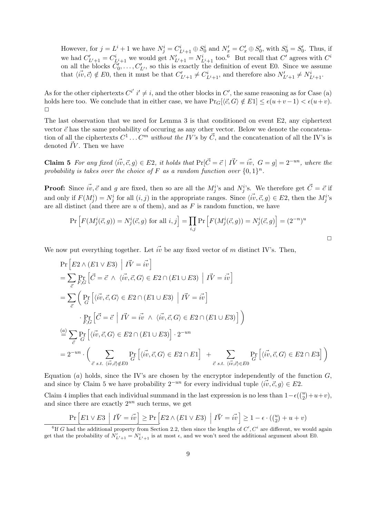However, for  $j = L^i + 1$  we have  $N_j^i = C_{L^i+1}^i \oplus S_0^i$  and  $N_x' = C_x' \oplus S_0'$  $S_0'$ , with  $S_0^i = S_0'$  $v_0'$ . Thus, if we had  $C'_{L'+1} = C_{L^i+1}^i$  we would get  $N'_{L'+1} = N_{L^i+1}^i$  too.<sup>6</sup> But recall that C' agrees with C<sup>'</sup> on all the blocks  $\ddot{C}_0$  $C_0^{\prime,\cdots}, C_{L'}^{\prime}$ , so this is exactly the definition of event E0. Since we assume that  $\langle \vec{iv}, \vec{c} \rangle \notin E0$ , then it must be that  $C'_{L'+1} \neq C^i_{L'+1}$ , and therefore also  $N'_{L'+1} \neq N^i_{L'+1}$ .

As for the other ciphertexts  $C^{i'} i' \neq i$ , and the other blocks in  $C'$ , the same reasoning as for Case (a) holds here too. We conclude that in either case, we have  $Pr_G[\langle \vec{c}, G \rangle \notin E1] \leq \epsilon(u+v-1) < \epsilon(u+v)$ .  $\Box$ 

The last observation that we need for Lemma 3 is that conditioned on event E2, any ciphertext vector  $\vec{c}$  has the same probability of occuring as any other vector. Below we denote the concatenation of all the ciphertexts  $C^1 \dots C^m$  without the IV's by  $\vec{C}$ , and the concatenation of all the IV's is denoted  $\vec{IV}$ . Then we have

**Claim 5** For any fixed  $\langle \vec{w}, \vec{c}, g \rangle \in E2$ , it holds that  $Pr[\vec{C} = \vec{c} \mid I\vec{V} = \vec{w}, G = g] = 2^{-un}$ , where the probability is takes over the choice of F as a random function over  $\{0,1\}^n$ .

**Proof:** Since  $\vec{iv}, \vec{c}$  and g are fixed, then so are all the  $M_j^{i}$ 's and  $N_j^{i}$ 's. We therefore get  $\vec{C} = \vec{c}$  if and only if  $F(M_j^i) = N_j^i$  for all  $(i, j)$  in the appropriate ranges. Since  $\langle \vec{iv}, \vec{c}, g \rangle \in E_2$ , then the  $M_j^i$ 's are all distinct (and there are  $u$  of them), and as  $F$  is random function, we have

$$
\Pr\left[F(M_j^i(\vec{c}, g)) = N_j^i(\vec{c}, g) \text{ for all } i, j\right] = \prod_{i, j} \Pr\left[F(M_j^i(\vec{c}, g)) = N_j^i(\vec{c}, g)\right] = (2^{-n})^u
$$

 $\Box$ 

We now put everything together. Let  $\vec{iv}$  be any fixed vector of m distinct IV's. Then,

$$
\Pr\left[E2 \land (E1 \lor E3) \middle| \vec{IV} = \vec{iv}\right]
$$
\n
$$
= \sum_{\vec{c}} \Pr_{F,G} \left[\vec{C} = \vec{c} \land \langle \vec{iv}, \vec{c}, G \rangle \in E2 \cap (E1 \cup E3) \middle| \vec{IV} = \vec{iv}\right]
$$
\n
$$
= \sum_{\vec{c}} \left(\Pr_{G} \left[\langle \vec{iv}, \vec{c}, G \rangle \in E2 \cap (E1 \cup E3) \middle| \vec{IV} = \vec{iv}\right] \right.
$$
\n
$$
\cdot \Pr_{F,G} \left[\vec{C} = \vec{c} \middle| \vec{IV} = \vec{iv} \land \langle \vec{iv}, \vec{c}, G \rangle \in E2 \cap (E1 \cup E3)\right]\right)
$$
\n
$$
\stackrel{(a)}{=} \sum_{\vec{c}} \Pr_{G} \left[\langle \vec{iv}, \vec{c}, G \rangle \in E2 \cap (E1 \cup E3)\right] \cdot 2^{-un}
$$
\n
$$
= 2^{-un} \cdot \left(\sum_{\vec{c} \text{ s.t. } \langle \vec{iv}, \vec{c} \rangle \notin E0} \Pr_{G} \left[\langle \vec{iv}, \vec{c}, G \rangle \in E2 \cap E1\right] + \sum_{\vec{c} \text{ s.t. } \langle \vec{iv}, \vec{c} \rangle \in E0} \Pr_{G} \left[\langle \vec{iv}, \vec{c}, G \rangle \in E2 \cap E3\right]\right)
$$

Equation (a) holds, since the IV's are chosen by the encryptor independently of the function  $G$ , and since by Claim 5 we have probability  $2^{-un}$  for every individual tuple  $\langle w, \vec{c}, q \rangle \in E2$ .

Claim 4 implies that each individual summand in the last expression is no less than  $1 - \epsilon\left(\binom{u}{2} + u + v\right)$ , and since there are exactly  $2^{un}$  such terms, we get

$$
\Pr\left[E1 \vee E3 \mid I\vec{V} = i\vec{v}\right] \ge \Pr\left[E2 \wedge (E1 \vee E3) \mid I\vec{V} = i\vec{v}\right] \ge 1 - \epsilon \cdot \binom{u}{2} + u + v
$$
\n<sup>6</sup>If G had the additional property from Section 2.2, then since the lengths of C', C' are different, we would again

get that the probability of  $N'_{L'+1} = N^i_{L'+1}$  is at most  $\epsilon$ , and we won't need the additional argument about E0.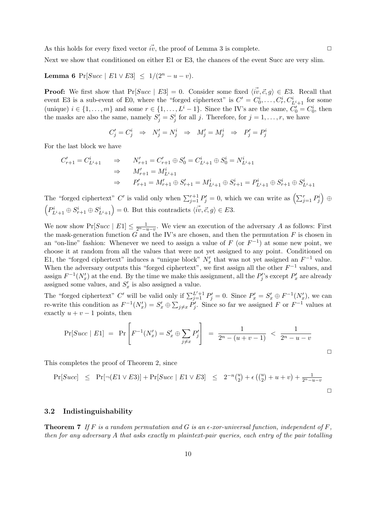As this holds for every fixed vector  $\vec{iv}$ , the proof of Lemma 3 is complete.  $\Box$ 

Next we show that conditioned on either E1 or E3, the chances of the event Succ are very slim.

## Lemma 6 Pr[ $Succ$  |  $E1 \vee E3$ ]  $\leq 1/(2^n - u - v)$ .

**Proof:** We first show that Pr[Succ | E3] = 0. Consider some fixed  $\langle \vec{w}, \vec{c}, g \rangle \in E3$ . Recall that event E3 is a sub-event of E0, where the "forged ciphertext" is  $C' = C_0^i, \ldots, C_r^i, C_{L^i+1}^i$  for some (unique)  $i \in \{1, \ldots, m\}$  and some  $r \in \{1, \ldots, L^i-1\}$ . Since the IV's are the same,  $C'_0 = C_0^i$ , then the masks are also the same, namely  $S_j' = S_j^i$  for all j. Therefore, for  $j = 1, \ldots, r$ , we have

$$
C'_j = C^i_j \Rightarrow N'_j = N^i_j \Rightarrow M'_j = M^i_j \Rightarrow P'_j = P^i_j
$$

For the last block we have

$$
\begin{array}{lll} C'_{r+1} = C^i_{L^i+1} & \Rightarrow & N'_{r+1} = C'_{r+1} \oplus S'_0 = C^i_{L^i+1} \oplus S^i_0 = N^i_{L^i+1} \\ & \Rightarrow & M'_{r+1} = M^i_{L^i+1} \\ & \Rightarrow & P'_{r+1} = M'_{r+1} \oplus S'_{r+1} = M^i_{L^i+1} \oplus S^i_{r+1} = P^i_{L^i+1} \oplus S^i_{r+1} \oplus S^i_{L^i+1} \end{array}
$$

The "forged ciphertext" C' is valid only when  $\sum_{j=1}^{r+1} P'_j = 0$ , which we can write as  $\left(\sum_{j=1}^r P'_j\right) \oplus$  $\left(P_{L^{i}+1}^{i} \oplus S_{r+1}^{i} \oplus S_{L^{i}+1}^{i}\right) = 0$ . But this contradicts  $\langle \vec{iv}, \vec{c}, g \rangle \in E3$ .

We now show  $Pr[Succ | E1] \leq \frac{1}{2^n-u-v}$ . We view an execution of the adversary A as follows: First the mask-generation function  $G$  and the IV's are chosen, and then the permutation  $F$  is chosen in an "on-line" fashion: Whenever we need to assign a value of  $F$  (or  $F^{-1}$ ) at some new point, we choose it at random from all the values that were not yet assigned to any point. Conditioned on E1, the "forged ciphertext" induces a "unique block"  $N'_x$  that was not yet assigned an  $F^{-1}$  value. When the adversary outputs this "forged ciphertext", we first assign all the other  $F^{-1}$  values, and assign  $F^{-1}(N_x')$  at the end. By the time we make this assignment, all the  $P'_j$  $P'_j$ 's except  $P'_x$  are already assigned some values, and  $S'_{\rm a}$  $x'$  is also assigned a value.

The "forged ciphertext" C' will be valid only if  $\sum_{j=1}^{L'+1} P'_j = 0$ . Since  $P'_x = S'_x \oplus F^{-1}(N'_x)$ , we can re-write this condition as  $F^{-1}(N'_x) = S'_x \oplus \sum_{j \neq x} P'_j$  $j'$ . Since so far we assigned F or  $F^{-1}$  values at exactly  $u + v - 1$  points, then

$$
\Pr[Succ \mid E1] = \Pr\left[F^{-1}(N'_x) = S'_x \oplus \sum_{j \neq x} P'_j\right] = \frac{1}{2^n - (u + v - 1)} < \frac{1}{2^n - u - v}
$$

This completes the proof of Theorem 2, since

$$
Pr[Succ] \le Pr[\neg(E1 \lor E3)] + Pr[Succ | E1 \lor E3] \le 2^{-n} {u \choose 2} + \epsilon \left({u \choose 2} + u + v\right) + \frac{1}{2^{n} - u - v}
$$

#### 3.2 Indistinguishability

**Theorem 7** If F is a random permutation and G is an  $\epsilon$ -xor-universal function, independent of F, then for any adversary A that asks exactly m plaintext-pair queries, each entry of the pair totalling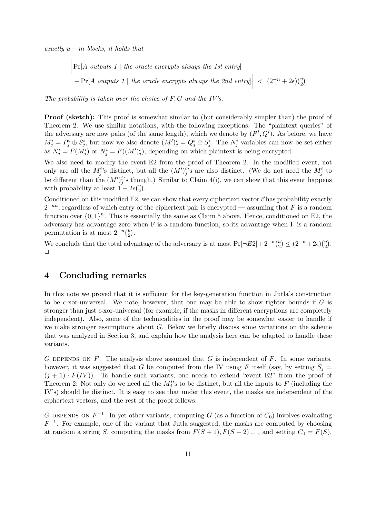exactly  $u - m$  blocks, it holds that

 $\begin{array}{c} \begin{array}{c} \begin{array}{c} \end{array} \\ \begin{array}{c} \end{array} \end{array} \end{array}$  $Pr[A \text{ outputs } 1 |$  the oracle encrypts always the 1st entry  $- Pr[A \text{ outputs } 1 \mid the \text{ oracle encrypts always the } 2nd \text{ entry}]$  $< (2^{-n} + 2\epsilon) {u \choose 2}$ 

The probability is taken over the choice of  $F, G$  and the IV's.

Proof (sketch): This proof is somewhat similar to (but considerably simpler than) the proof of Theorem 2. We use similar notations, with the following exceptions: The "plaintext queries" of the adversary are now pairs (of the same length), which we denote by  $(P^i, Q^i)$ . As before, we have  $M_j^i = P_j^i \oplus S_j^i$ , but now we also denote  $(M')_j^i = Q_j^i \oplus S_j^i$ . The  $N_j^i$  variables can now be set either as  $N_j^i = F(M_j^i)$  or  $N_j^i = F((M')_j^i)$ , depending on which plaintext is being encrypted.

We also need to modify the event E2 from the proof of Theorem 2. In the modified event, not only are all the  $M_j^i$ 's distinct, but all the  $(M')_j^i$ 's are also distinct. (We do not need the  $M_j^i$  to be different than the  $(M')_j^i$ 's though.) Similar to Claim 4(i), we can show that this event happens with probability at least  $1 - 2\epsilon {u \choose 2}$ .

Conditioned on this modified E2, we can show that every ciphertext vector  $\vec{c}$  has probability exactly  $2^{-un}$ , regardless of which entry of the ciphertext pair is encrypted — assuming that F is a random function over  $\{0,1\}^n$ . This is essentially the same as Claim 5 above. Hence, conditioned on E2, the adversary has advantage zero when F is a random function, so its advantage when F is a random permutation is at most  $2^{-n} {u \choose 2}$ .

We conclude that the total advantage of the adversary is at most  $Pr[\neg E2] + 2^{-n} \binom{u}{2} \leq (2^{-n} + 2\epsilon) \binom{u}{2}$ .  $\Box$ 

## 4 Concluding remarks

In this note we proved that it is sufficient for the key-generation function in Jutla's construction to be  $\epsilon$ -xor-universal. We note, however, that one may be able to show tighter bounds if G is stronger than just  $\epsilon$ -xor-universal (for example, if the masks in different encryptions are completely independent). Also, some of the technicalities in the proof may be somewhat easier to handle if we make stronger assumptions about G. Below we briefly discuss some variations on the scheme that was analyzed in Section 3, and explain how the analysis here can be adapted to handle these variants.

G DEPENDS ON  $F$ . The analysis above assumed that  $G$  is independent of  $F$ . In some variants, however, it was suggested that G be computed from the IV using F itself (say, by setting  $S_i =$  $(j + 1) \cdot F(V)$ ). To handle such variants, one needs to extend "event E2" from the proof of Theorem 2: Not only do we need all the  $M_j^i$ 's to be distinct, but all the inputs to F (including the IV's) should be distinct. It is easy to see that under this event, the masks are independent of the ciphertext vectors, and the rest of the proof follows.

G DEPENDS ON  $F^{-1}$ . In yet other variants, computing G (as a function of  $C_0$ ) involves evaluating  $F^{-1}$ . For example, one of the variant that Jutla suggested, the masks are computed by choosing at random a string S, computing the masks from  $F(S + 1), F(S + 2) \dots$ , and setting  $C_0 = F(S)$ .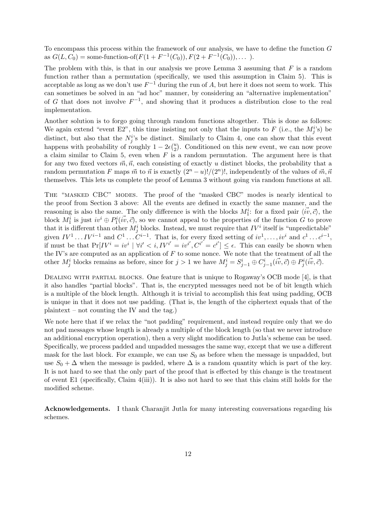To encompass this process within the framework of our analysis, we have to define the function G as  $G(L, C_0)$  = some-function-of( $F(1 + F^{-1}(C_0)), F(2 + F^{-1}(C_0)), \dots$ ).

The problem with this, is that in our analysis we prove Lemma 3 assuming that  $F$  is a random function rather than a permutation (specifically, we used this assumption in Claim 5). This is acceptable as long as we don't use  $F^{-1}$  during the run of A, but here it does not seem to work. This can sometimes be solved in an "ad hoc" manner, by considering an "alternative implementation" of G that does not involve  $F^{-1}$ , and showing that it produces a distribution close to the real implementation.

Another solution is to forgo going through random functions altogether. This is done as follows: We again extend "event E2", this time insisting not only that the inputs to F (i.e., the  $M_j^{i,s}$ ) be distinct, but also that the  $N_j^i$ 's be distinct. Similarly to Claim 4, one can show that this event happens with probability of roughly  $1 - 2\epsilon \binom{u}{2}$ . Conditioned on this new event, we can now prove a claim similar to Claim 5, even when  $F$  is a random permutation. The argument here is that for any two fixed vectors  $\vec{m}, \vec{n}$ , each consisting of exactly u distinct blocks, the probability that a random permutation F maps  $\vec{m}$  to  $\vec{n}$  is exactly  $(2^n - u)!/(2^n)!$ , independently of the values of  $\vec{m}, \vec{n}$ themselves. This lets us complete the proof of Lemma 3 without going via random functions at all.

The "masked CBC" modes. The proof of the "masked CBC" modes is nearly identical to the proof from Section 3 above: All the events are defined in exactly the same manner, and the reasoning is also the same. The only difference is with the blocks  $M_1^i$ : for a fixed pair  $\langle \vec{iv}, \vec{c} \rangle$ , the block  $M_1^i$  is just  $iv^i \oplus P_1^i(\vec{w}, \vec{c})$ , so we cannot appeal to the properties of the function G to prove that it is different than other  $M_j^i$  blocks. Instead, we must require that  $IV^i$  itself is "unpredictable" given  $IV^1 \dots IV^{i-1}$  and  $C^1 \dots C^{i-1}$ . That is, for every fixed setting of  $iv^1, \dots, iv^i$  and  $c^1 \dots c^{i-1}$ , if must be that  $Pr[V^i = iv^i \mid \forall i' < i, IV^{i'} = iv^{i'}, C^{i'} = c^{i'}] \le \epsilon$ . This can easily be shown when the IV's are computed as an application of  $F$  to some nonce. We note that the treatment of all the other  $M_j^i$  blocks remains as before, since for  $j > 1$  we have  $M_j^i = S_{j-1}^i \oplus C_{j-1}^i$  $(\vec{iv}, \vec{c}) \oplus P_j^i(\vec{iv}, \vec{c})$ .

DEALING WITH PARTIAL BLOCKS. One feature that is unique to Rogaway's OCB mode [4], is that it also handles "partial blocks". That is, the encrypted messages need not be of bit length which is a multiple of the block length. Although it is trivial to accomplish this feat using padding, OCB is unique in that it does not use padding. (That is, the length of the ciphertext equals that of the plaintext – not counting the IV and the tag.)

We note here that if we relax the "not padding" requirement, and instead require only that we do not pad messages whose length is already a multiple of the block length (so that we never introduce an additional encryption operation), then a very slight modification to Jutla's scheme can be used. Specifically, we process padded and unpadded messages the same way, except that we use a different mask for the last block. For example, we can use  $S_0$  as before when the message is unpadded, but use  $S_0 + \Delta$  when the message is padded, where  $\Delta$  is a random quantity which is part of the key. It is not hard to see that the only part of the proof that is effected by this change is the treatment of event E1 (specifically, Claim  $4(iii)$ ). It is also not hard to see that this claim still holds for the modified scheme.

Acknowledgements. I thank Charanjit Jutla for many interesting conversations regarding his schemes.